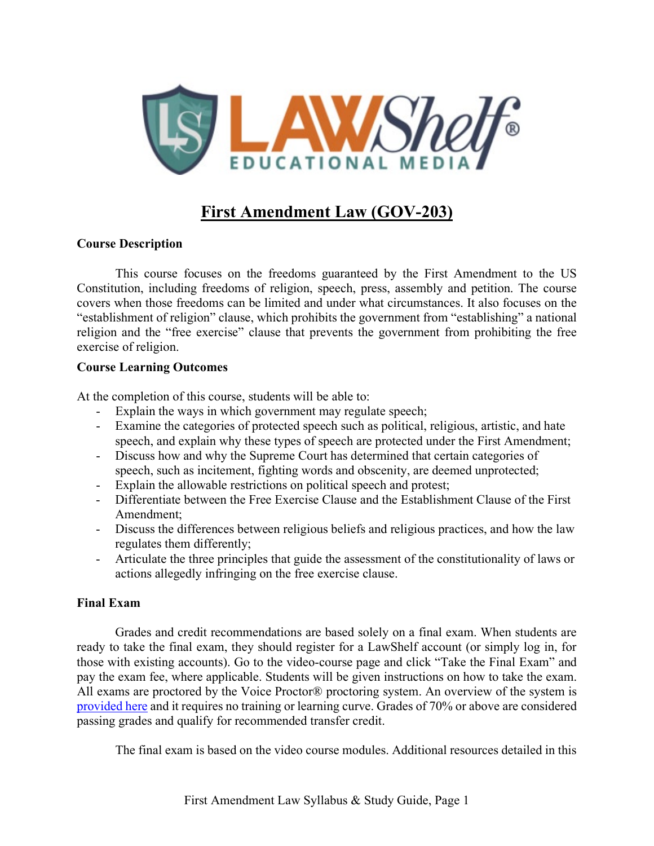

# **First Amendment Law (GOV-203)**

### **Course Description**

This course focuses on the freedoms guaranteed by the First Amendment to the US Constitution, including freedoms of religion, speech, press, assembly and petition. The course covers when those freedoms can be limited and under what circumstances. It also focuses on the "establishment of religion" clause, which prohibits the government from "establishing" a national religion and the "free exercise" clause that prevents the government from prohibiting the free exercise of religion.

### **Course Learning Outcomes**

At the completion of this course, students will be able to:

- Explain the ways in which government may regulate speech;
- Examine the categories of protected speech such as political, religious, artistic, and hate speech, and explain why these types of speech are protected under the First Amendment;
- Discuss how and why the Supreme Court has determined that certain categories of speech, such as incitement, fighting words and obscenity, are deemed unprotected;
- Explain the allowable restrictions on political speech and protest;
- Differentiate between the Free Exercise Clause and the Establishment Clause of the First Amendment;
- Discuss the differences between religious beliefs and religious practices, and how the law regulates them differently;
- Articulate the three principles that guide the assessment of the constitutionality of laws or actions allegedly infringing on the free exercise clause.

### **Final Exam**

Grades and credit recommendations are based solely on a final exam. When students are ready to take the final exam, they should register for a LawShelf account (or simply log in, for those with existing accounts). Go to the video-course page and click "Take the Final Exam" and pay the exam fee, where applicable. Students will be given instructions on how to take the exam. All exams are proctored by the Voice Proctor® proctoring system. An overview of the system is [provided](https://lawshelf.com/voiceproctorvideo) here and it requires no training or learning curve. Grades of 70% or above are considered passing grades and qualify for recommended transfer credit.

The final exam is based on the video course modules. Additional resources detailed in this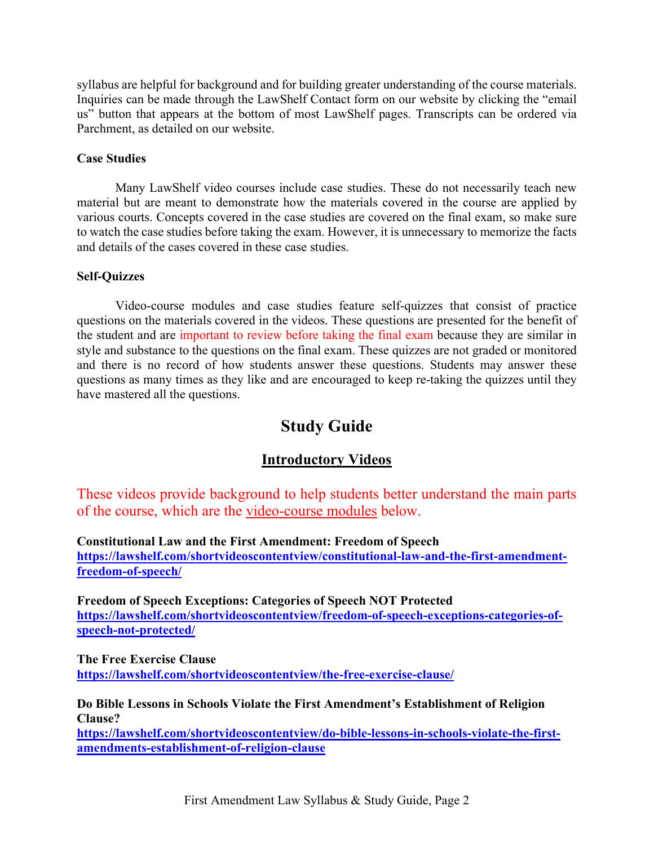syllabus are helpful for background and for building greater understanding of the course materials. Inquiries can be made through the LawShelf Contact form on our website by clicking the "email us" button that appears at the bottom of most LawShelf pages. Transcripts can be ordered via Parchment, as detailed on our website.

### **Case Studies**

Many LawShelf video courses include case studies. These do not necessarily teach new material but are meant to demonstrate how the materials covered in the course are applied by various courts. Concepts covered in the case studies are covered on the final exam, so make sure to watch the case studies before taking the exam. However, it is unnecessary to memorize the facts and details of the cases covered in these case studies.

### **Self-Quizzes**

Video-course modules and case studies feature self-quizzes that consist of practice questions on the materials covered in the videos. These questions are presented for the benefit of the student and are important to review before taking the final exam because they are similar in style and substance to the questions on the final exam. These quizzes are not graded or monitored and there is no record of how students answer these questions. Students may answer these questions as many times as they like and are encouraged to keep re-taking the quizzes until they have mastered all the questions.

## **Study Guide**

### **Introductory Videos**

These videos provide background to help students better understand the main parts of the course, which are the video-course modules below.

#### **Constitutional Law and the First Amendment: Freedom of Speech**

**[https://lawshelf.com/shortvideoscontentview/constitutional-law-and-the-first-amendment](https://lawshelf.com/shortvideoscontentview/constitutional-law-and-the-first-amendment-freedom-of-speech/)[freedom-of-speech/](https://lawshelf.com/shortvideoscontentview/constitutional-law-and-the-first-amendment-freedom-of-speech/)**

**Freedom of Speech Exceptions: Categories of Speech NOT Protected [https://lawshelf.com/shortvideoscontentview/freedom-of-speech-exceptions-categories-of](https://lawshelf.com/shortvideoscontentview/freedom-of-speech-exceptions-categories-of-speech-not-protected/)[speech-not-protected/](https://lawshelf.com/shortvideoscontentview/freedom-of-speech-exceptions-categories-of-speech-not-protected/)**

**The Free Exercise Clause <https://lawshelf.com/shortvideoscontentview/the-free-exercise-clause/>**

**Do Bible Lessons in Schools Violate the First Amendment's Establishment of Religion Clause?**

**[https://lawshelf.com/shortvideoscontentview/do-bible-lessons-in-schools-violate-the-first](https://lawshelf.com/shortvideoscontentview/do-bible-lessons-in-schools-violate-the-first-amendments-establishment-of-religion-clause)[amendments-establishment-of-religion-clause](https://lawshelf.com/shortvideoscontentview/do-bible-lessons-in-schools-violate-the-first-amendments-establishment-of-religion-clause)**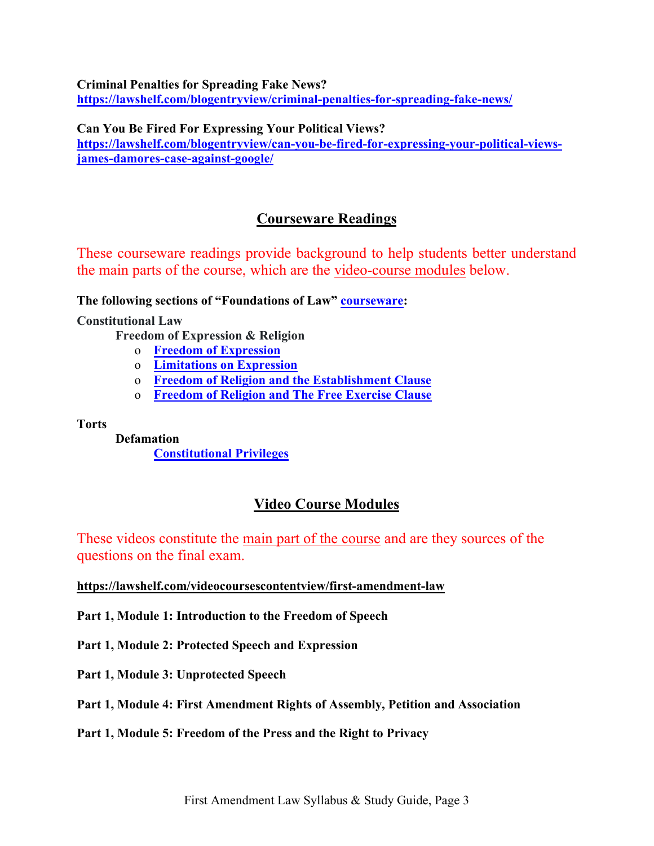**Criminal Penalties for Spreading Fake News?**

**<https://lawshelf.com/blogentryview/criminal-penalties-for-spreading-fake-news/>**

### **Can You Be Fired For Expressing Your Political Views?**

**[https://lawshelf.com/blogentryview/can-you-be-fired-for-expressing-your-political-views](https://lawshelf.com/blogentryview/can-you-be-fired-for-expressing-your-political-views-james-damores-case-against-google/)[james-damores-case-against-google/](https://lawshelf.com/blogentryview/can-you-be-fired-for-expressing-your-political-views-james-damores-case-against-google/)**

### **Courseware Readings**

These courseware readings provide background to help students better understand the main parts of the course, which are the video-course modules below.

**The following sections of "Foundations of Law" [courseware:](https://lawshelf.com/coursewareview)**

**Constitutional Law**

**Freedom of Expression & Religion**

- o **Freedom of [Expression](https://lawshelf.com/coursewarecontentview/freedom-of-expression)**
- o **[Limitations](https://lawshelf.com/coursewarecontentview/limitations-on-expression) on Expression**
- o **Freedom of Religion and the [Establishment](https://lawshelf.com/coursewarecontentview/freedom-of-religion-and-the-establishment-clause) Clause**
- o **[Freedom](https://lawshelf.com/coursewarecontentview/freedom-of-religion-and-the-free-exercise-clause) of Religion and The Free Exercise Clause**

**Torts**

**Defamation [Constitutional](https://lawshelf.com/coursewarecontentview/constitutional-privileges) Privileges**

### **Video Course Modules**

These videos constitute the main part of the course and are they sources of the questions on the final exam.

#### **<https://lawshelf.com/videocoursescontentview/first-amendment-law>**

**Part 1, Module 1: Introduction to the Freedom of Speech**

**Part 1, Module 2: Protected Speech and Expression**

**Part 1, Module 3: Unprotected Speech**

**Part 1, Module 4: First Amendment Rights of Assembly, Petition and Association**

**Part 1, Module 5: Freedom of the Press and the Right to Privacy**